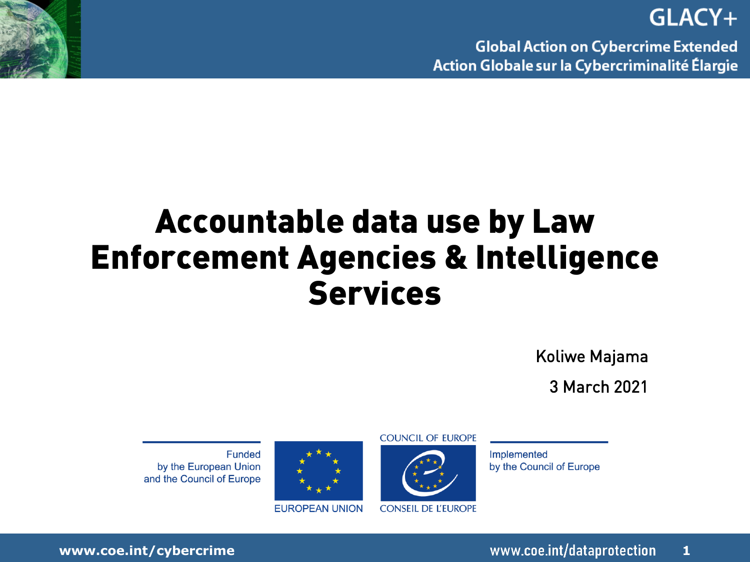**Global Action on Cybercrime Extended** Action Globale sur la Cybercriminalité Élargie

### **Accountable data use by Law Enforcement Agencies & Intelligence Services**

Koliwe Majama

3 March 2021

**Funded** by the European Union and the Council of Europe



**EUROPEAN UNION** 

**COUNCIL OF EUROPE** 



Implemented by the Council of Europe

**www.coe.int/cybercrime 1**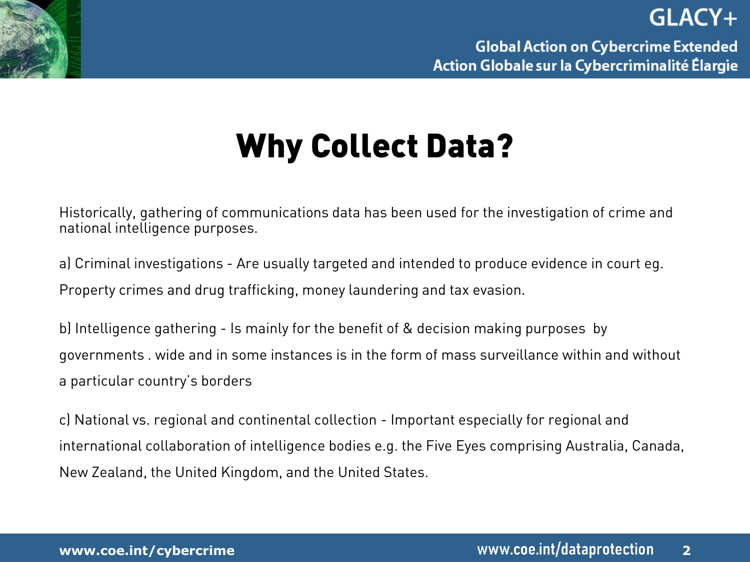

### **Why Collect Data?**

Historically, gathering of communications data has been used for the investigation of crime and national intelligence purposes.

a) Criminal investigations - Are usually targeted and intended to produce evidence in court eg. Property crimes and drug trafficking, money laundering and tax evasion.

b) Intelligence gathering - Is mainly for the benefit of & decision making purposes by governments . wide and in some instances is in the form of mass surveillance within and without a particular country's borders

c) National vs. regional and continental collection - Important especially for regional and international collaboration of intelligence bodies e.g. the Five Eyes comprising Australia, Canada, New Zealand, the United Kingdom, and the United States.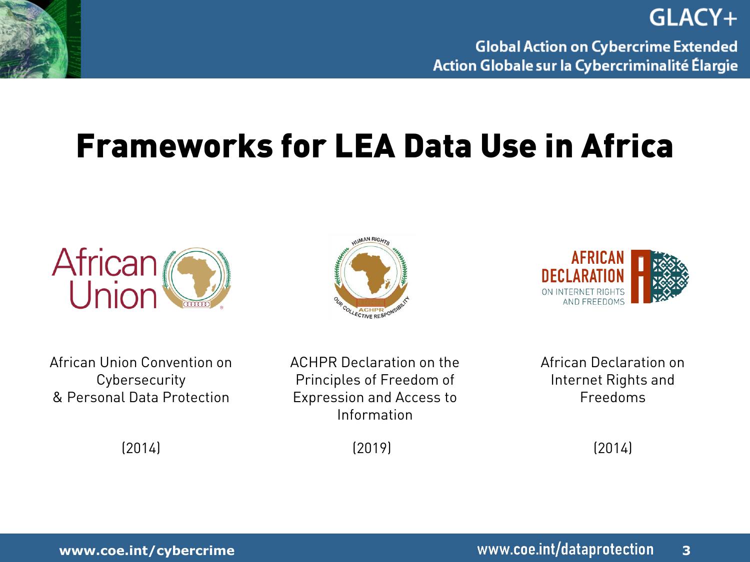

**Global Action on Cybercrime Extended** Action Globale sur la Cybercriminalité Élargie

GLACY+

### **Frameworks for LEA Data Use in Africa**







African Union Convention on **Cybersecurity** & Personal Data Protection

ACHPR Declaration on the Principles of Freedom of Expression and Access to Information

(2019)

African Declaration on Internet Rights and Freedoms

(2014)

(2014)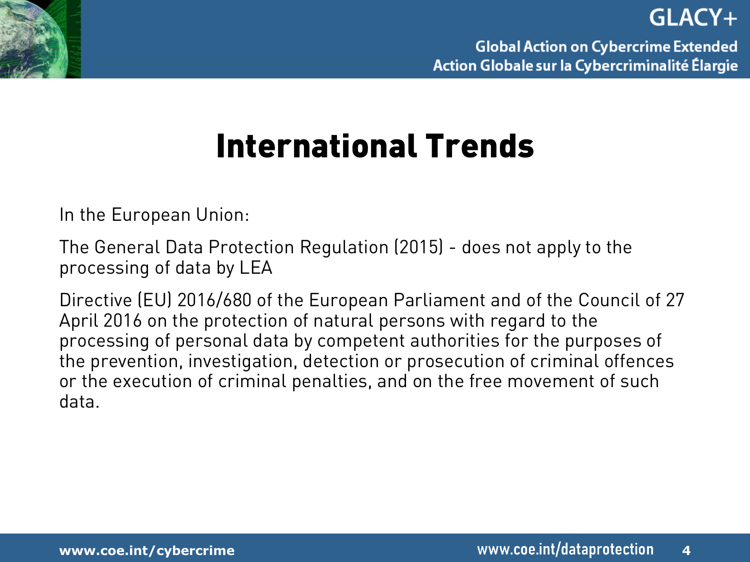



### **International Trends**

In the European Union:

The General Data Protection Regulation (2015) - does not apply to the processing of data by LEA

Directive (EU) 2016/680 of the European Parliament and of the Council of 27 April 2016 on the protection of natural persons with regard to the processing of personal data by competent authorities for the purposes of the prevention, investigation, detection or prosecution of criminal offences or the execution of criminal penalties, and on the free movement of such data.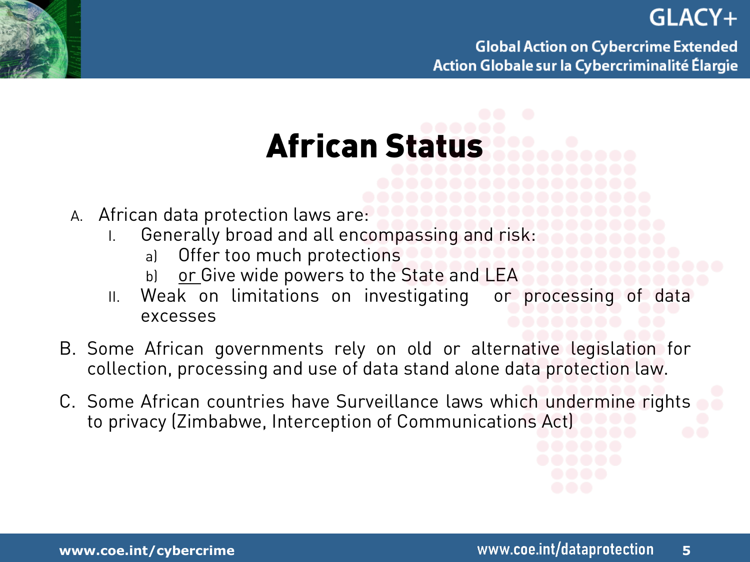**Global Action on Cybercrime Extended** Action Globale sur la Cybercriminalité Élargie

## **African Status**

- A. African data protection laws are:
	- I. Generally broad and all encompassing and risk:
		- a) Offer too much protections
		- b) or Give wide powers to the State and LEA
	- II. Weak on limitations on investigating or processing of data excesses
- B. Some African governments rely on old or alternative legislation for collection, processing and use of data stand alone data protection law.
- C. Some African countries have Surveillance laws which undermine rights to privacy (Zimbabwe, Interception of Communications Act)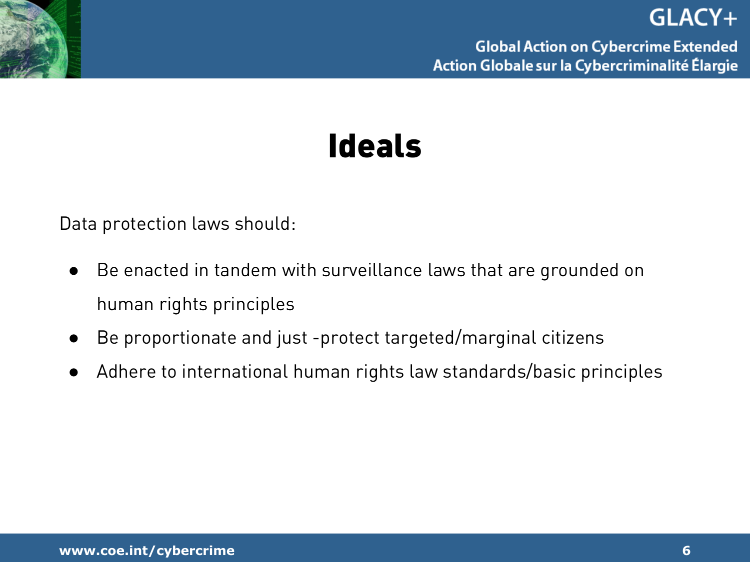



Data protection laws should:

- Be enacted in tandem with surveillance laws that are grounded on human rights principles
- Be proportionate and just -protect targeted/marginal citizens
- Adhere to international human rights law standards/basic principles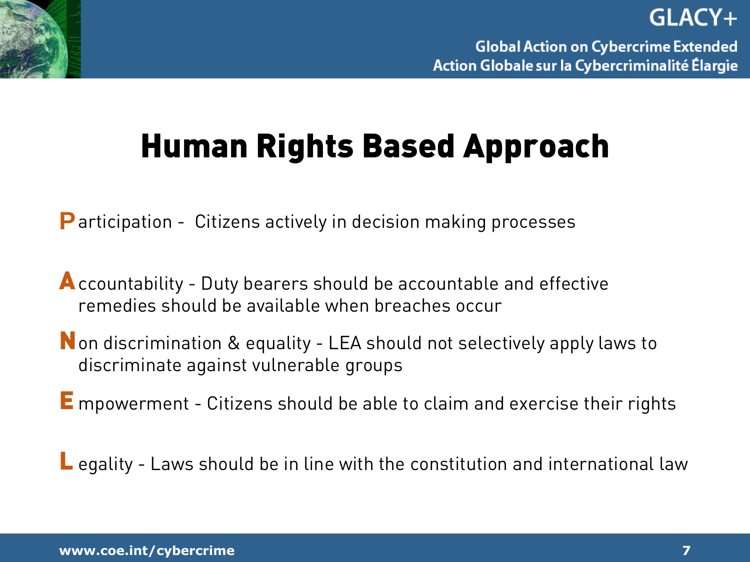### **Human Rights Based Approach**

**P** articipation - Citizens actively in decision making processes

**A** ccountability - Duty bearers should be accountable and effective remedies should be available when breaches occur

**N** on discrimination & equality - LEA should not selectively apply laws to discriminate against vulnerable groups

**E** mpowerment - Citizens should be able to claim and exercise their rights

**L** egality - Laws should be in line with the constitution and international law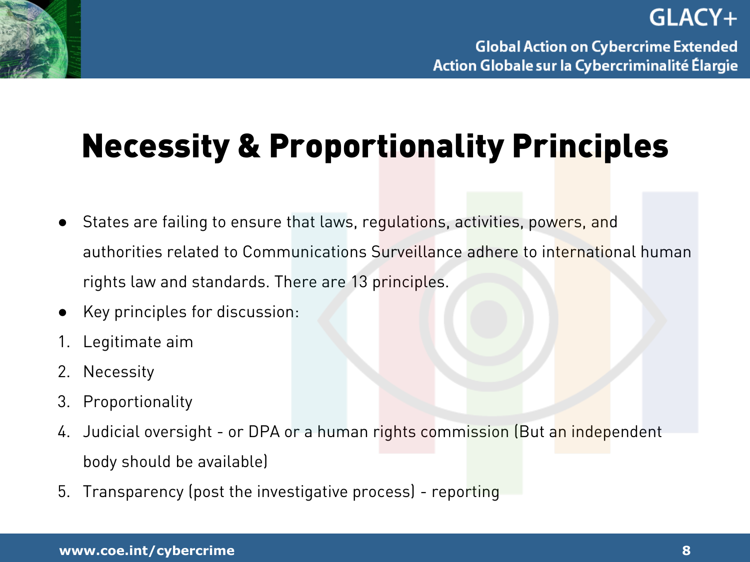### **Necessity & Proportionality Principles**

- States are failing to ensure that laws, regulations, activities, powers, and authorities related to Communications Surveillance adhere to international human rights law and standards. There are 13 principles.
- Key principles for discussion:
- 1. Legitimate aim
- 2. Necessity
- 3. Proportionality
- 4. Judicial oversight or DPA or a human rights commission (But an independent body should be available)
- 5. Transparency (post the investigative process) reporting